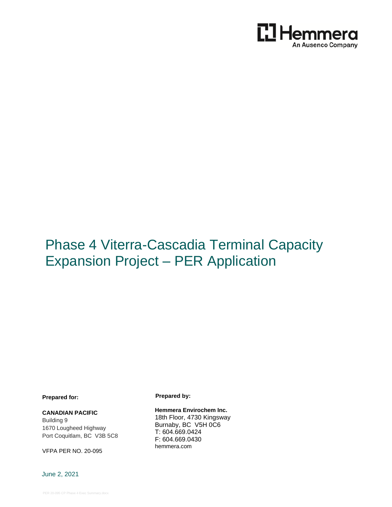

# Phase 4 Viterra-Cascadia Terminal Capacity Expansion Project – PER Application

**Prepared for:**

#### **CANADIAN PACIFIC**

Building 9 1670 Lougheed Highway Port Coquitlam, BC V3B 5C8

VFPA PER NO. 20-095

June 2, 2021

**Prepared by:**

**Hemmera Envirochem Inc.** 18th Floor, 4730 Kingsway Burnaby, BC V5H 0C6 T: 604.669.0424 F: 604.669.0430 [hemmera.com](http://www.hemmera.com/)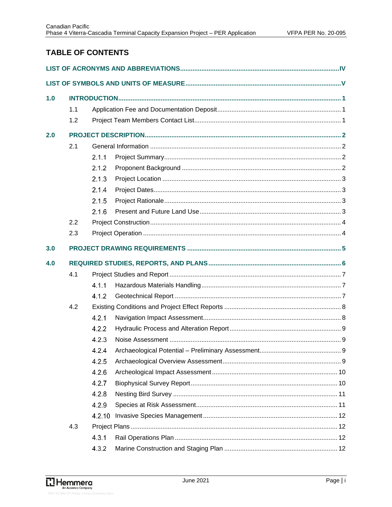# **TABLE OF CONTENTS**

| 1.0 |     |        |  |  |
|-----|-----|--------|--|--|
|     | 1.1 |        |  |  |
|     | 1.2 |        |  |  |
| 2.0 |     |        |  |  |
|     | 2.1 |        |  |  |
|     |     | 2.1.1  |  |  |
|     |     | 2.1.2  |  |  |
|     |     | 2.1.3  |  |  |
|     |     | 2.1.4  |  |  |
|     |     | 2.1.5  |  |  |
|     |     | 2.1.6  |  |  |
|     | 2.2 |        |  |  |
|     | 2.3 |        |  |  |
| 3.0 |     |        |  |  |
| 4.0 |     |        |  |  |
|     | 4.1 |        |  |  |
|     |     | 4.1.1  |  |  |
|     |     | 4.1.2  |  |  |
|     | 4.2 |        |  |  |
|     |     | 4.2.1  |  |  |
|     |     | 4.2.2  |  |  |
|     |     | 4.2.3  |  |  |
|     |     | 4.2.4  |  |  |
|     |     | 4.2.5  |  |  |
|     |     | 4.2.6  |  |  |
|     |     | 4.2.7  |  |  |
|     |     | 4.2.8  |  |  |
|     |     | 4.2.9  |  |  |
|     |     | 4.2.10 |  |  |
|     | 4.3 |        |  |  |
|     |     | 4.3.1  |  |  |
|     |     | 4.3.2  |  |  |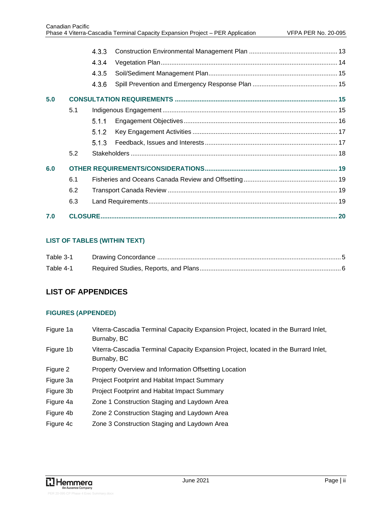|     |     | 4.3.3 |  |  |
|-----|-----|-------|--|--|
|     |     | 4.3.4 |  |  |
|     |     | 4.3.5 |  |  |
|     |     | 4.3.6 |  |  |
| 5.0 |     |       |  |  |
|     | 5.1 |       |  |  |
|     |     | 5.1.1 |  |  |
|     |     | 5.1.2 |  |  |
|     |     | 5.1.3 |  |  |
|     | 5.2 |       |  |  |
| 6.0 |     |       |  |  |
|     | 6.1 |       |  |  |
|     | 6.2 |       |  |  |
|     | 6.3 |       |  |  |
| 7.0 |     |       |  |  |

### **LIST OF TABLES (WITHIN TEXT)**

| Table 3-1 |  |
|-----------|--|
| Table 4-1 |  |

# **LIST OF APPENDICES**

### **FIGURES (APPENDED)**

| Figure 1a | Viterra-Cascadia Terminal Capacity Expansion Project, located in the Burrard Inlet,<br>Burnaby, BC |
|-----------|----------------------------------------------------------------------------------------------------|
| Figure 1b | Viterra-Cascadia Terminal Capacity Expansion Project, located in the Burrard Inlet,<br>Burnaby, BC |
| Figure 2  | Property Overview and Information Offsetting Location                                              |
| Figure 3a | <b>Project Footprint and Habitat Impact Summary</b>                                                |
| Figure 3b | <b>Project Footprint and Habitat Impact Summary</b>                                                |
| Figure 4a | Zone 1 Construction Staging and Laydown Area                                                       |
| Figure 4b | Zone 2 Construction Staging and Laydown Area                                                       |
| Figure 4c | Zone 3 Construction Staging and Laydown Area                                                       |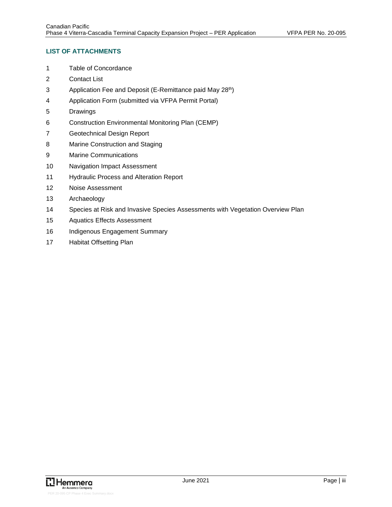### **LIST OF ATTACHMENTS**

- Table of Concordance
- Contact List
- 3 Application Fee and Deposit (E-Remittance paid May 28<sup>th</sup>)
- Application Form (submitted via VFPA Permit Portal)
- Drawings
- Construction Environmental Monitoring Plan (CEMP)
- Geotechnical Design Report
- Marine Construction and Staging
- Marine Communications
- Navigation Impact Assessment
- Hydraulic Process and Alteration Report
- Noise Assessment
- Archaeology
- Species at Risk and Invasive Species Assessments with Vegetation Overview Plan
- Aquatics Effects Assessment
- 16 Indigenous Engagement Summary
- Habitat Offsetting Plan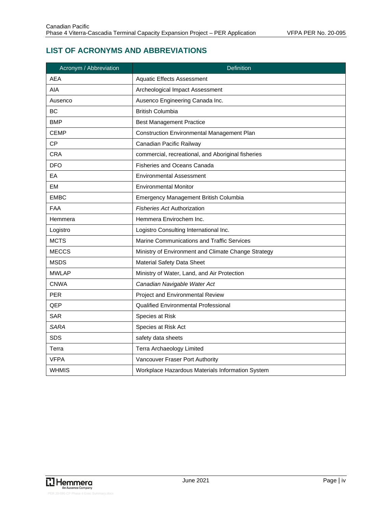# <span id="page-4-0"></span>**LIST OF ACRONYMS AND ABBREVIATIONS**

| Acronym / Abbreviation | Definition                                          |
|------------------------|-----------------------------------------------------|
| <b>AEA</b>             | <b>Aquatic Effects Assessment</b>                   |
| AIA                    | Archeological Impact Assessment                     |
| Ausenco                | Ausenco Engineering Canada Inc.                     |
| BC                     | <b>British Columbia</b>                             |
| <b>BMP</b>             | <b>Best Management Practice</b>                     |
| <b>CEMP</b>            | <b>Construction Environmental Management Plan</b>   |
| <b>CP</b>              | Canadian Pacific Railway                            |
| <b>CRA</b>             | commercial, recreational, and Aboriginal fisheries  |
| <b>DFO</b>             | <b>Fisheries and Oceans Canada</b>                  |
| EA                     | <b>Environmental Assessment</b>                     |
| <b>EM</b>              | <b>Environmental Monitor</b>                        |
| <b>EMBC</b>            | Emergency Management British Columbia               |
| <b>FAA</b>             | <b>Fisheries Act Authorization</b>                  |
| Hemmera                | Hemmera Envirochem Inc.                             |
| Logistro               | Logistro Consulting International Inc.              |
| <b>MCTS</b>            | Marine Communications and Traffic Services          |
| <b>MECCS</b>           | Ministry of Environment and Climate Change Strategy |
| <b>MSDS</b>            | Material Safety Data Sheet                          |
| <b>MWLAP</b>           | Ministry of Water, Land, and Air Protection         |
| <b>CNWA</b>            | Canadian Navigable Water Act                        |
| <b>PER</b>             | Project and Environmental Review                    |
| QEP                    | <b>Qualified Environmental Professional</b>         |
| <b>SAR</b>             | Species at Risk                                     |
| <b>SARA</b>            | Species at Risk Act                                 |
| <b>SDS</b>             | safety data sheets                                  |
| Terra                  | Terra Archaeology Limited                           |
| <b>VFPA</b>            | Vancouver Fraser Port Authority                     |
| <b>WHMIS</b>           | Workplace Hazardous Materials Information System    |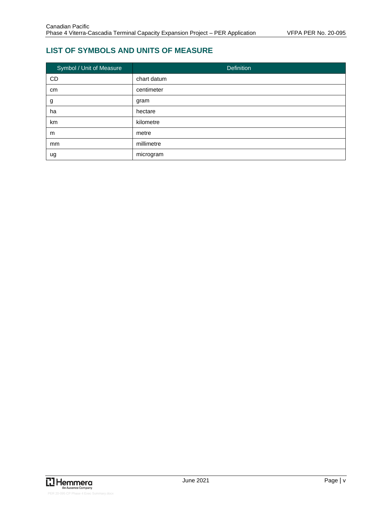# <span id="page-5-0"></span>**LIST OF SYMBOLS AND UNITS OF MEASURE**

| Symbol / Unit of Measure | <b>Definition</b> |
|--------------------------|-------------------|
| CD                       | chart datum       |
| cm                       | centimeter        |
| g                        | gram              |
| ha                       | hectare           |
| km                       | kilometre         |
| m                        | metre             |
| mm                       | millimetre        |
| ug                       | microgram         |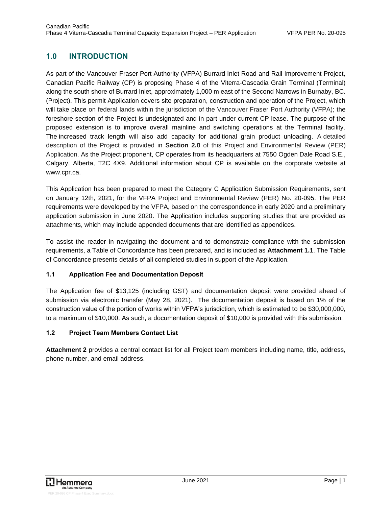# <span id="page-6-0"></span>**1.0 INTRODUCTION**

As part of the Vancouver Fraser Port Authority (VFPA) Burrard Inlet Road and Rail Improvement Project, Canadian Pacific Railway (CP) is proposing Phase 4 of the Viterra-Cascadia Grain Terminal (Terminal) along the south shore of Burrard Inlet, approximately 1,000 m east of the Second Narrows in Burnaby, BC. (Project). This permit Application covers site preparation, construction and operation of the Project, which will take place on federal lands within the jurisdiction of the Vancouver Fraser Port Authority (VFPA); the foreshore section of the Project is undesignated and in part under current CP lease. The purpose of the proposed extension is to improve overall mainline and switching operations at the Terminal facility. The increased track length will also add capacity for additional grain product unloading. A detailed description of the Project is provided in **Section 2.0** of this Project and Environmental Review (PER) Application. As the Project proponent, CP operates from its headquarters at 7550 Ogden Dale Road S.E., Calgary, Alberta, T2C 4X9. Additional information about CP is available on the corporate website at www.cpr.ca.

This Application has been prepared to meet the Category C Application Submission Requirements, sent on January 12th, 2021, for the VFPA Project and Environmental Review (PER) No. 20-095. The PER requirements were developed by the VFPA, based on the correspondence in early 2020 and a preliminary application submission in June 2020. The Application includes supporting studies that are provided as attachments, which may include appended documents that are identified as appendices.

To assist the reader in navigating the document and to demonstrate compliance with the submission requirements, a Table of Concordance has been prepared, and is included as **Attachment 1.1**. The Table of Concordance presents details of all completed studies in support of the Application.

### <span id="page-6-1"></span>**1.1 Application Fee and Documentation Deposit**

The Application fee of \$13,125 (including GST) and documentation deposit were provided ahead of submission via electronic transfer (May 28, 2021). The documentation deposit is based on 1% of the construction value of the portion of works within VFPA's jurisdiction, which is estimated to be \$30,000,000, to a maximum of \$10,000. As such, a documentation deposit of \$10,000 is provided with this submission.

### <span id="page-6-2"></span>**1.2 Project Team Members Contact List**

**Attachment 2** provides a central contact list for all Project team members including name, title, address, phone number, and email address.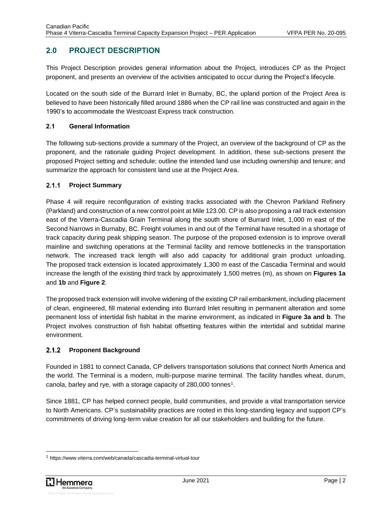# <span id="page-7-0"></span>**2.0 PROJECT DESCRIPTION**

This Project Description provides general information about the Project, introduces CP as the Project proponent, and presents an overview of the activities anticipated to occur during the Project's lifecycle.

Located on the south side of the Burrard Inlet in Burnaby, BC, the upland portion of the Project Area is believed to have been historically filled around 1886 when the CP rail line was constructed and again in the 1990's to accommodate the Westcoast Express track construction.

### <span id="page-7-1"></span>**2.1 General Information**

The following sub-sections provide a summary of the Project, an overview of the background of CP as the proponent, and the rationale guiding Project development. In addition, these sub-sections present the proposed Project setting and schedule; outline the intended land use including ownership and tenure; and summarize the approach for consistent land use at the Project Area.

#### <span id="page-7-2"></span> $2.1.1$ **Project Summary**

Phase 4 will require reconfiguration of existing tracks associated with the Chevron Parkland Refinery (Parkland) and construction of a new control point at Mile 123.00. CP is also proposing a rail track extension east of the Viterra-Cascadia Grain Terminal along the south shore of Burrard Inlet, 1,000 m east of the Second Narrows in Burnaby, BC. Freight volumes in and out of the Terminal have resulted in a shortage of track capacity during peak shipping season. The purpose of the proposed extension is to improve overall mainline and switching operations at the Terminal facility and remove bottlenecks in the transportation network. The increased track length will also add capacity for additional grain product unloading. The proposed track extension is located approximately 1,300 m east of the Cascadia Terminal and would increase the length of the existing third track by approximately 1,500 metres (m), as shown on **Figures 1a** and **1b** and **Figure 2**.

The proposed track extension will involve widening of the existing CP rail embankment, including placement of clean, engineered, fill material extending into Burrard Inlet resulting in permanent alteration and some permanent loss of intertidal fish habitat in the marine environment, as indicated in **Figure 3a and b**. The Project involves construction of fish habitat offsetting features within the intertidal and subtidal marine environment.

#### <span id="page-7-3"></span> $2.1.2$ **Proponent Background**

Founded in 1881 to connect Canada, CP delivers transportation solutions that connect North America and the world. The Terminal is a modern, multi-purpose marine terminal. The facility handles wheat, durum, canola, barley and rye, with a storage capacity of 280,000 tonnes<sup>1</sup>.

Since 1881, CP has helped connect people, build communities, and provide a vital transportation service to North Americans. CP's sustainability practices are rooted in this long-standing legacy and support CP's commitments of driving long-term value creation for all our stakeholders and building for the future.

<sup>1</sup> https://www.viterra.com/web/canada/cascadia-terminal-virtual-tour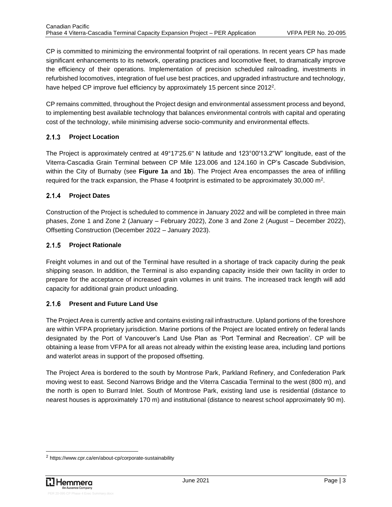CP is committed to minimizing the environmental footprint of rail operations. In recent years CP has made significant enhancements to its network, operating practices and locomotive fleet, to dramatically improve the efficiency of their operations. Implementation of precision scheduled railroading, investments in refurbished locomotives, integration of fuel use best practices, and upgraded infrastructure and technology, have helped CP improve fuel efficiency by approximately 15 percent since 2012<sup>2</sup>.

CP remains committed, throughout the Project design and environmental assessment process and beyond, to implementing best available technology that balances environmental controls with capital and operating cost of the technology, while minimising adverse socio-community and environmental effects.

#### <span id="page-8-0"></span> $2.1.3$ **Project Location**

The Project is approximately centred at 49°17'25.6" N latitude and 123°00'13.2"W" longitude, east of the Viterra-Cascadia Grain Terminal between CP Mile 123.006 and 124.160 in CP's Cascade Subdivision, within the City of Burnaby (see **Figure 1a** and **1b**). The Project Area encompasses the area of infilling required for the track expansion, the Phase 4 footprint is estimated to be approximately 30,000 m<sup>2</sup>.

#### <span id="page-8-1"></span> $2.1.4$ **Project Dates**

Construction of the Project is scheduled to commence in January 2022 and will be completed in three main phases, Zone 1 and Zone 2 (January – February 2022), Zone 3 and Zone 2 (August – December 2022), Offsetting Construction (December 2022 – January 2023).

#### <span id="page-8-2"></span> $2.1.5$ **Project Rationale**

Freight volumes in and out of the Terminal have resulted in a shortage of track capacity during the peak shipping season. In addition, the Terminal is also expanding capacity inside their own facility in order to prepare for the acceptance of increased grain volumes in unit trains. The increased track length will add capacity for additional grain product unloading.

### <span id="page-8-3"></span>**Present and Future Land Use**

The Project Area is currently active and contains existing rail infrastructure. Upland portions of the foreshore are within VFPA proprietary jurisdiction. Marine portions of the Project are located entirely on federal lands designated by the Port of Vancouver's Land Use Plan as 'Port Terminal and Recreation'. CP will be obtaining a lease from VFPA for all areas not already within the existing lease area, including land portions and waterlot areas in support of the proposed offsetting.

The Project Area is bordered to the south by Montrose Park, Parkland Refinery, and Confederation Park moving west to east. Second Narrows Bridge and the Viterra Cascadia Terminal to the west (800 m), and the north is open to Burrard Inlet. South of Montrose Park, existing land use is residential (distance to nearest houses is approximately 170 m) and institutional (distance to nearest school approximately 90 m).

<sup>2</sup> https://www.cpr.ca/en/about-cp/corporate-sustainability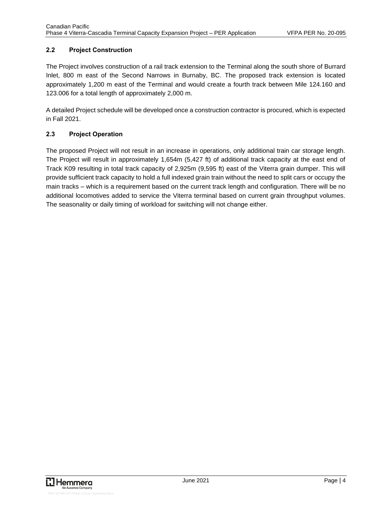### <span id="page-9-0"></span>**2.2 Project Construction**

The Project involves construction of a rail track extension to the Terminal along the south shore of Burrard Inlet, 800 m east of the Second Narrows in Burnaby, BC. The proposed track extension is located approximately 1,200 m east of the Terminal and would create a fourth track between Mile 124.160 and 123.006 for a total length of approximately 2,000 m.

A detailed Project schedule will be developed once a construction contractor is procured, which is expected in Fall 2021.

### <span id="page-9-1"></span>**2.3 Project Operation**

The proposed Project will not result in an increase in operations, only additional train car storage length. The Project will result in approximately 1,654m (5,427 ft) of additional track capacity at the east end of Track K09 resulting in total track capacity of 2,925m (9,595 ft) east of the Viterra grain dumper. This will provide sufficient track capacity to hold a full indexed grain train without the need to split cars or occupy the main tracks – which is a requirement based on the current track length and configuration. There will be no additional locomotives added to service the Viterra terminal based on current grain throughput volumes. The seasonality or daily timing of workload for switching will not change either.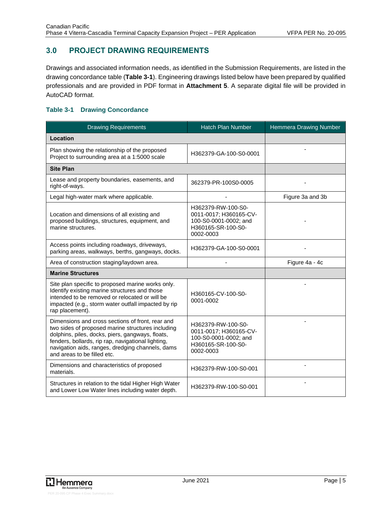# <span id="page-10-0"></span>**3.0 PROJECT DRAWING REQUIREMENTS**

Drawings and associated information needs, as identified in the Submission Requirements, are listed in the drawing concordance table (**[Table 3-1](#page-10-1)**). Engineering drawings listed below have been prepared by qualified professionals and are provided in PDF format in **Attachment 5**. A separate digital file will be provided in AutoCAD format.

### <span id="page-10-1"></span>**Table 3-1 Drawing Concordance**

| <b>Drawing Requirements</b>                                                                                                                                                                                                                                                                        | Hatch Plan Number                                                                                        | Hemmera Drawing Number |
|----------------------------------------------------------------------------------------------------------------------------------------------------------------------------------------------------------------------------------------------------------------------------------------------------|----------------------------------------------------------------------------------------------------------|------------------------|
| Location                                                                                                                                                                                                                                                                                           |                                                                                                          |                        |
| Plan showing the relationship of the proposed<br>Project to surrounding area at a 1:5000 scale                                                                                                                                                                                                     | H362379-GA-100-S0-0001                                                                                   |                        |
| <b>Site Plan</b>                                                                                                                                                                                                                                                                                   |                                                                                                          |                        |
| Lease and property boundaries, easements, and<br>right-of-ways.                                                                                                                                                                                                                                    | 362379-PR-100S0-0005                                                                                     |                        |
| Legal high-water mark where applicable.                                                                                                                                                                                                                                                            |                                                                                                          | Figure 3a and 3b       |
| Location and dimensions of all existing and<br>proposed buildings, structures, equipment, and<br>marine structures.                                                                                                                                                                                | H362379-RW-100-S0-<br>0011-0017; H360165-CV-<br>100-S0-0001-0002; and<br>H360165-SR-100-S0-<br>0002-0003 |                        |
| Access points including roadways, driveways,<br>parking areas, walkways, berths, gangways, docks.                                                                                                                                                                                                  | H362379-GA-100-S0-0001                                                                                   |                        |
| Area of construction staging/laydown area.                                                                                                                                                                                                                                                         |                                                                                                          | Figure 4a - 4c         |
| <b>Marine Structures</b>                                                                                                                                                                                                                                                                           |                                                                                                          |                        |
| Site plan specific to proposed marine works only.<br>Identify existing marine structures and those<br>intended to be removed or relocated or will be<br>impacted (e.g., storm water outfall impacted by rip<br>rap placement).                                                                     | H360165-CV-100-S0-<br>0001-0002                                                                          |                        |
| Dimensions and cross sections of front, rear and<br>two sides of proposed marine structures including<br>dolphins, piles, docks, piers, gangways, floats,<br>fenders, bollards, rip rap, navigational lighting,<br>navigation aids, ranges, dredging channels, dams<br>and areas to be filled etc. | H362379-RW-100-S0-<br>0011-0017; H360165-CV-<br>100-S0-0001-0002; and<br>H360165-SR-100-S0-<br>0002-0003 |                        |
| Dimensions and characteristics of proposed<br>materials.                                                                                                                                                                                                                                           | H362379-RW-100-S0-001                                                                                    |                        |
| Structures in relation to the tidal Higher High Water<br>and Lower Low Water lines including water depth.                                                                                                                                                                                          | H362379-RW-100-S0-001                                                                                    |                        |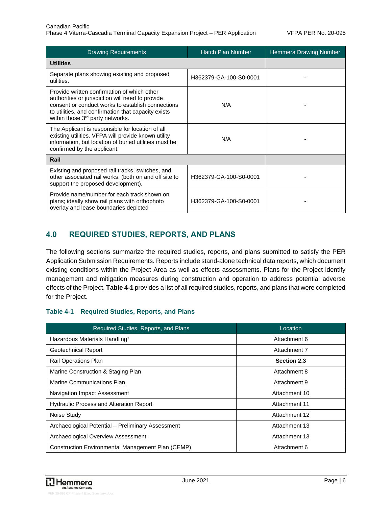| <b>Drawing Requirements</b>                                                                                                                                                                                                                                 | <b>Hatch Plan Number</b> | Hemmera Drawing Number |
|-------------------------------------------------------------------------------------------------------------------------------------------------------------------------------------------------------------------------------------------------------------|--------------------------|------------------------|
| <b>Utilities</b>                                                                                                                                                                                                                                            |                          |                        |
| Separate plans showing existing and proposed<br>utilities.                                                                                                                                                                                                  | H362379-GA-100-S0-0001   |                        |
| Provide written confirmation of which other<br>authorities or jurisdiction will need to provide<br>consent or conduct works to establish connections<br>to utilities, and confirmation that capacity exists<br>within those 3 <sup>rd</sup> party networks. | N/A                      |                        |
| The Applicant is responsible for location of all<br>existing utilities. VFPA will provide known utility<br>information, but location of buried utilities must be<br>confirmed by the applicant.                                                             | N/A                      |                        |
| Rail                                                                                                                                                                                                                                                        |                          |                        |
| Existing and proposed rail tracks, switches, and<br>other associated rail works. (both on and off site to<br>support the proposed development).                                                                                                             | H362379-GA-100-S0-0001   |                        |
| Provide name/number for each track shown on<br>plans; ideally show rail plans with orthophoto<br>overlay and lease boundaries depicted                                                                                                                      | H362379-GA-100-S0-0001   |                        |

# <span id="page-11-0"></span>**4.0 REQUIRED STUDIES, REPORTS, AND PLANS**

The following sections summarize the required studies, reports, and plans submitted to satisfy the PER Application Submission Requirements. Reports include stand-alone technical data reports, which document existing conditions within the Project Area as well as effects assessments. Plans for the Project identify management and mitigation measures during construction and operation to address potential adverse effects of the Project. **[Table 4-1](#page-11-1)** provides a list of all required studies, reports, and plans that were completed for the Project.

### <span id="page-11-1"></span>**Table 4-1 Required Studies, Reports, and Plans**

| Required Studies, Reports, and Plans              | Location           |
|---------------------------------------------------|--------------------|
| Hazardous Materials Handling <sup>3</sup>         | Attachment 6       |
| Geotechnical Report                               | Attachment 7       |
| Rail Operations Plan                              | <b>Section 2.3</b> |
| Marine Construction & Staging Plan                | Attachment 8       |
| <b>Marine Communications Plan</b>                 | Attachment 9       |
| Navigation Impact Assessment                      | Attachment 10      |
| <b>Hydraulic Process and Alteration Report</b>    | Attachment 11      |
| Noise Study                                       | Attachment 12      |
| Archaeological Potential - Preliminary Assessment | Attachment 13      |
| Archaeological Overview Assessment                | Attachment 13      |
| Construction Environmental Management Plan (CEMP) | Attachment 6       |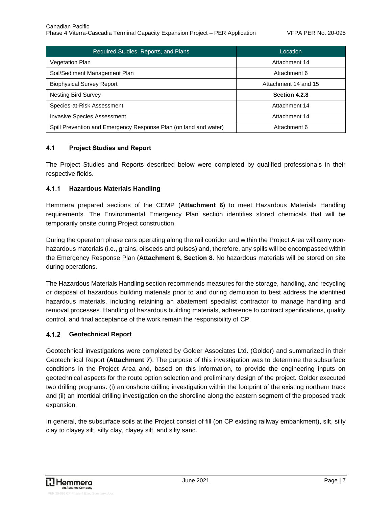| Required Studies, Reports, and Plans                             | Location             |
|------------------------------------------------------------------|----------------------|
| <b>Vegetation Plan</b>                                           | Attachment 14        |
| Soil/Sediment Management Plan                                    | Attachment 6         |
| <b>Biophysical Survey Report</b>                                 | Attachment 14 and 15 |
| <b>Nesting Bird Survey</b>                                       | Section 4.2.8        |
| Species-at-Risk Assessment                                       | Attachment 14        |
| <b>Invasive Species Assessment</b>                               | Attachment 14        |
| Spill Prevention and Emergency Response Plan (on land and water) | Attachment 6         |

#### <span id="page-12-0"></span>**4.1 Project Studies and Report**

The Project Studies and Reports described below were completed by qualified professionals in their respective fields.

#### <span id="page-12-1"></span> $4.1.1$ **Hazardous Materials Handling**

Hemmera prepared sections of the CEMP (**Attachment 6**) to meet Hazardous Materials Handling requirements. The Environmental Emergency Plan section identifies stored chemicals that will be temporarily onsite during Project construction.

During the operation phase cars operating along the rail corridor and within the Project Area will carry nonhazardous materials (i.e., grains, oilseeds and pulses) and, therefore, any spills will be encompassed within the Emergency Response Plan (**Attachment 6, Section 8**. No hazardous materials will be stored on site during operations.

The Hazardous Materials Handling section recommends measures for the storage, handling, and recycling or disposal of hazardous building materials prior to and during demolition to best address the identified hazardous materials, including retaining an abatement specialist contractor to manage handling and removal processes. Handling of hazardous building materials, adherence to contract specifications, quality control, and final acceptance of the work remain the responsibility of CP.

#### <span id="page-12-2"></span> $4.1.2$ **Geotechnical Report**

Geotechnical investigations were completed by Golder Associates Ltd. (Golder) and summarized in their Geotechnical Report (**Attachment 7**). The purpose of this investigation was to determine the subsurface conditions in the Project Area and, based on this information, to provide the engineering inputs on geotechnical aspects for the route option selection and preliminary design of the project. Golder executed two drilling programs: (i) an onshore drilling investigation within the footprint of the existing northern track and (ii) an intertidal drilling investigation on the shoreline along the eastern segment of the proposed track expansion.

In general, the subsurface soils at the Project consist of fill (on CP existing railway embankment), silt, silty clay to clayey silt, silty clay, clayey silt, and silty sand.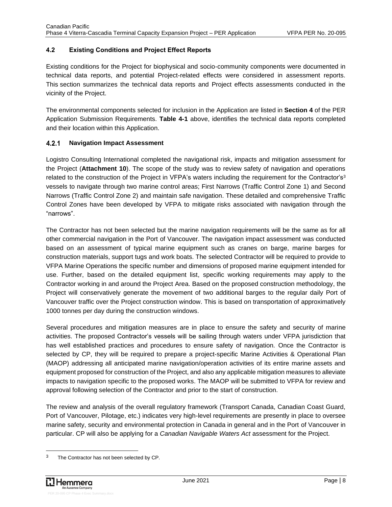### <span id="page-13-0"></span>**4.2 Existing Conditions and Project Effect Reports**

Existing conditions for the Project for biophysical and socio-community components were documented in technical data reports, and potential Project-related effects were considered in assessment reports. This section summarizes the technical data reports and Project effects assessments conducted in the vicinity of the Project.

The environmental components selected for inclusion in the Application are listed in **Section 4** of the PER Application Submission Requirements. **[Table 4-1](#page-11-1)** above, identifies the technical data reports completed and their location within this Application.

#### <span id="page-13-1"></span> $4.2.1$ **Navigation Impact Assessment**

Logistro Consulting International completed the navigational risk, impacts and mitigation assessment for the Project (**Attachment 10**). The scope of the study was to review safety of navigation and operations related to the construction of the Project in VFPA's waters including the requirement for the Contractor's<sup>3</sup> vessels to navigate through two marine control areas; First Narrows (Traffic Control Zone 1) and Second Narrows (Traffic Control Zone 2) and maintain safe navigation. These detailed and comprehensive Traffic Control Zones have been developed by VFPA to mitigate risks associated with navigation through the "narrows".

The Contractor has not been selected but the marine navigation requirements will be the same as for all other commercial navigation in the Port of Vancouver. The navigation impact assessment was conducted based on an assessment of typical marine equipment such as cranes on barge, marine barges for construction materials, support tugs and work boats. The selected Contractor will be required to provide to VFPA Marine Operations the specific number and dimensions of proposed marine equipment intended for use. Further, based on the detailed equipment list, specific working requirements may apply to the Contractor working in and around the Project Area. Based on the proposed construction methodology, the Project will conservatively generate the movement of two additional barges to the regular daily Port of Vancouver traffic over the Project construction window. This is based on transportation of approximatively 1000 tonnes per day during the construction windows.

Several procedures and mitigation measures are in place to ensure the safety and security of marine activities. The proposed Contractor's vessels will be sailing through waters under VFPA jurisdiction that has well established practices and procedures to ensure safety of navigation. Once the Contractor is selected by CP, they will be required to prepare a project-specific Marine Activities & Operational Plan (MAOP) addressing all anticipated marine navigation/operation activities of its entire marine assets and equipment proposed for construction of the Project, and also any applicable mitigation measures to alleviate impacts to navigation specific to the proposed works. The MAOP will be submitted to VFPA for review and approval following selection of the Contractor and prior to the start of construction.

The review and analysis of the overall regulatory framework (Transport Canada, Canadian Coast Guard, Port of Vancouver, Pilotage, etc.) indicates very high-level requirements are presently in place to oversee marine safety, security and environmental protection in Canada in general and in the Port of Vancouver in particular. CP will also be applying for a *Canadian Navigable Waters Act* assessment for the Project.

<sup>&</sup>lt;sup>3</sup> The Contractor has not been selected by CP.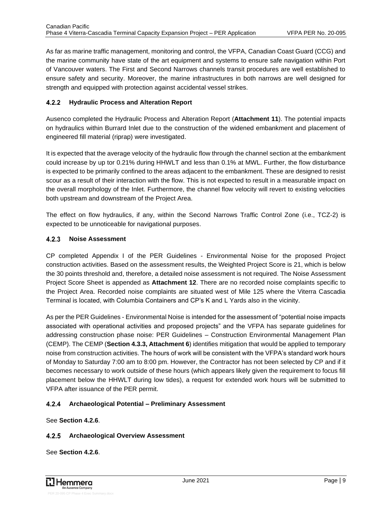As far as marine traffic management, monitoring and control, the VFPA, Canadian Coast Guard (CCG) and the marine community have state of the art equipment and systems to ensure safe navigation within Port of Vancouver waters. The First and Second Narrows channels transit procedures are well established to ensure safety and security. Moreover, the marine infrastructures in both narrows are well designed for strength and equipped with protection against accidental vessel strikes.

#### <span id="page-14-0"></span> $4.2.2$ **Hydraulic Process and Alteration Report**

Ausenco completed the Hydraulic Process and Alteration Report (**Attachment 11**). The potential impacts on hydraulics within Burrard Inlet due to the construction of the widened embankment and placement of engineered fill material (riprap) were investigated.

It is expected that the average velocity of the hydraulic flow through the channel section at the embankment could increase by up tor 0.21% during HHWLT and less than 0.1% at MWL. Further, the flow disturbance is expected to be primarily confined to the areas adjacent to the embankment. These are designed to resist scour as a result of their interaction with the flow. This is not expected to result in a measurable impact on the overall morphology of the Inlet. Furthermore, the channel flow velocity will revert to existing velocities both upstream and downstream of the Project Area.

The effect on flow hydraulics, if any, within the Second Narrows Traffic Control Zone (i.e., TCZ-2) is expected to be unnoticeable for navigational purposes.

#### <span id="page-14-1"></span> $4.2.3$ **Noise Assessment**

CP completed Appendix I of the PER Guidelines - Environmental Noise for the proposed Project construction activities. Based on the assessment results, the Weighted Project Score is 21, which is below the 30 points threshold and, therefore, a detailed noise assessment is not required. The Noise Assessment Project Score Sheet is appended as **Attachment 12**. There are no recorded noise complaints specific to the Project Area. Recorded noise complaints are situated west of Mile 125 where the Viterra Cascadia Terminal is located, with Columbia Containers and CP's K and L Yards also in the vicinity.

As per the PER Guidelines - Environmental Noise is intended for the assessment of "potential noise impacts associated with operational activities and proposed projects" and the VFPA has separate guidelines for addressing construction phase noise: PER Guidelines – Construction Environmental Management Plan (CEMP). The CEMP (**Section 4.3.3, Attachment 6**) identifies mitigation that would be applied to temporary noise from construction activities. The hours of work will be consistent with the VFPA's standard work hours of Monday to Saturday 7:00 am to 8:00 pm. However, the Contractor has not been selected by CP and if it becomes necessary to work outside of these hours (which appears likely given the requirement to focus fill placement below the HHWLT during low tides), a request for extended work hours will be submitted to VFPA after issuance of the PER permit.

#### <span id="page-14-2"></span> $4.2.4$ **Archaeological Potential – Preliminary Assessment**

See **Section 4.2.6**.

### <span id="page-14-3"></span>**Archaeological Overview Assessment**

See **Section 4.2.6**.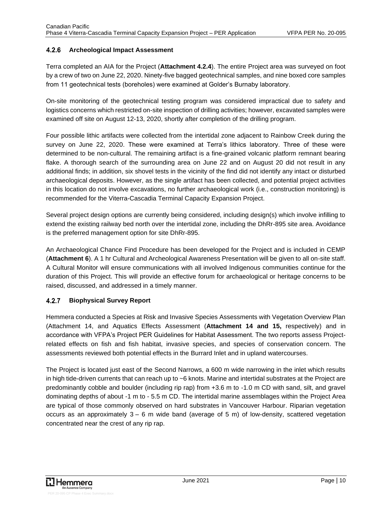#### <span id="page-15-0"></span> $4.2.6$ **Archeological Impact Assessment**

Terra completed an AIA for the Project (**Attachment 4.2.4**). The entire Project area was surveyed on foot by a crew of two on June 22, 2020. Ninety-five bagged geotechnical samples, and nine boxed core samples from 11 geotechnical tests (boreholes) were examined at Golder's Burnaby laboratory.

On-site monitoring of the geotechnical testing program was considered impractical due to safety and logistics concerns which restricted on-site inspection of drilling activities; however, excavated samples were examined off site on August 12-13, 2020, shortly after completion of the drilling program.

Four possible lithic artifacts were collected from the intertidal zone adjacent to Rainbow Creek during the survey on June 22, 2020. These were examined at Terra's lithics laboratory. Three of these were determined to be non-cultural. The remaining artifact is a fine-grained volcanic platform remnant bearing flake. A thorough search of the surrounding area on June 22 and on August 20 did not result in any additional finds; in addition, six shovel tests in the vicinity of the find did not identify any intact or disturbed archaeological deposits. However, as the single artifact has been collected, and potential project activities in this location do not involve excavations, no further archaeological work (i.e., construction monitoring) is recommended for the Viterra-Cascadia Terminal Capacity Expansion Project.

Several project design options are currently being considered, including design(s) which involve infilling to extend the existing railway bed north over the intertidal zone, including the DhRr-895 site area. Avoidance is the preferred management option for site DhRr-895.

An Archaeological Chance Find Procedure has been developed for the Project and is included in CEMP (**Attachment 6**). A 1 hr Cultural and Archeological Awareness Presentation will be given to all on-site staff. A Cultural Monitor will ensure communications with all involved Indigenous communities continue for the duration of this Project. This will provide an effective forum for archaeological or heritage concerns to be raised, discussed, and addressed in a timely manner.

#### <span id="page-15-1"></span> $4.2.7$ **Biophysical Survey Report**

Hemmera conducted a Species at Risk and Invasive Species Assessments with Vegetation Overview Plan (Attachment 14, and Aquatics Effects Assessment (**Attachment 14 and 15,** respectively) and in accordance with VFPA's Project PER Guidelines for Habitat Assessment. The two reports assess Projectrelated effects on fish and fish habitat, invasive species, and species of conservation concern. The assessments reviewed both potential effects in the Burrard Inlet and in upland watercourses.

The Project is located just east of the Second Narrows, a 600 m wide narrowing in the inlet which results in high tide-driven currents that can reach up to ~6 knots. Marine and intertidal substrates at the Project are predominantly cobble and boulder (including rip rap) from +3.6 m to -1.0 m CD with sand, silt, and gravel dominating depths of about -1 m to - 5.5 m CD. The intertidal marine assemblages within the Project Area are typical of those commonly observed on hard substrates in Vancouver Harbour. Riparian vegetation occurs as an approximately  $3 - 6$  m wide band (average of 5 m) of low-density, scattered vegetation concentrated near the crest of any rip rap.

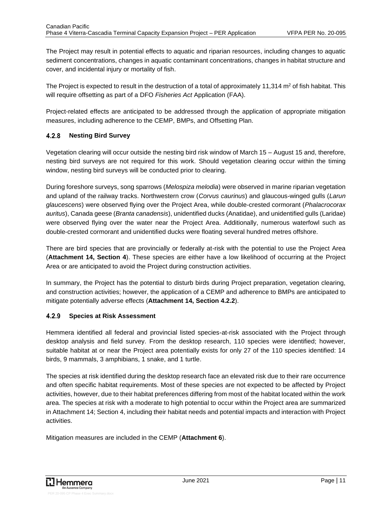The Project may result in potential effects to aquatic and riparian resources, including changes to aquatic sediment concentrations, changes in aquatic contaminant concentrations, changes in habitat structure and cover, and incidental injury or mortality of fish.

The Project is expected to result in the destruction of a total of approximately 11,314  $m<sup>2</sup>$  of fish habitat. This will require offsetting as part of a DFO *Fisheries Act* Application (FAA).

Project-related effects are anticipated to be addressed through the application of appropriate mitigation measures, including adherence to the CEMP, BMPs, and Offsetting Plan.

#### <span id="page-16-0"></span> $4.2.8$ **Nesting Bird Survey**

Vegetation clearing will occur outside the nesting bird risk window of March 15 – August 15 and, therefore, nesting bird surveys are not required for this work. Should vegetation clearing occur within the timing window, nesting bird surveys will be conducted prior to clearing.

During foreshore surveys, song sparrows (*Melospiza melodia*) were observed in marine riparian vegetation and upland of the railway tracks. Northwestern crow (*Corvus caurinus*) and glaucous-winged gulls (*Larun glaucescens*) were observed flying over the Project Area, while double-crested cormorant (*Phalacrocorax auritus*), Canada geese (*Branta canadensis*), unidentified ducks (Anatidae), and unidentified gulls (Laridae) were observed flying over the water near the Project Area. Additionally, numerous waterfowl such as double-crested cormorant and unidentified ducks were floating several hundred metres offshore.

There are bird species that are provincially or federally at-risk with the potential to use the Project Area (**Attachment 14, Section 4**). These species are either have a low likelihood of occurring at the Project Area or are anticipated to avoid the Project during construction activities.

In summary, the Project has the potential to disturb birds during Project preparation, vegetation clearing, and construction activities; however, the application of a CEMP and adherence to BMPs are anticipated to mitigate potentially adverse effects (**Attachment 14, Section 4.2.2**).

#### <span id="page-16-1"></span> $4.2.9$ **Species at Risk Assessment**

Hemmera identified all federal and provincial listed species-at-risk associated with the Project through desktop analysis and field survey. From the desktop research, 110 species were identified; however, suitable habitat at or near the Project area potentially exists for only 27 of the 110 species identified: 14 birds, 9 mammals, 3 amphibians, 1 snake, and 1 turtle.

The species at risk identified during the desktop research face an elevated risk due to their rare occurrence and often specific habitat requirements. Most of these species are not expected to be affected by Project activities, however, due to their habitat preferences differing from most of the habitat located within the work area. The species at risk with a moderate to high potential to occur within the Project area are summarized in Attachment 14; Section 4, including their habitat needs and potential impacts and interaction with Project activities.

Mitigation measures are included in the CEMP (**Attachment 6**).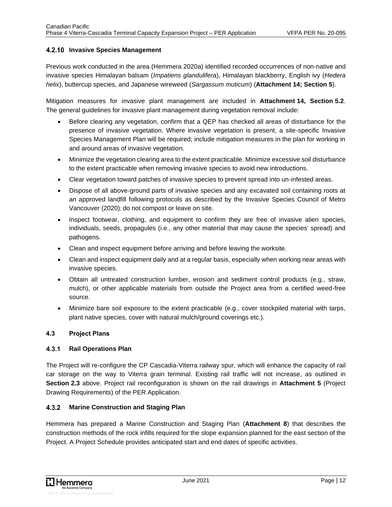### <span id="page-17-0"></span>**4.2.10 Invasive Species Management**

Previous work conducted in the area (Hemmera 2020a) identified recorded occurrences of non-native and invasive species Himalayan balsam (*Impatiens glandulifera*), Himalayan blackberry, English ivy (*Hedera helix*), buttercup species, and Japanese wireweed (*Sargassum muticum*) (**Attachment 14; Section 5**).

Mitigation measures for invasive plant management are included in **Attachment 14, Section 5.2**. The general guidelines for invasive plant management during vegetation removal include:

- Before clearing any vegetation, confirm that a QEP has checked all areas of disturbance for the presence of invasive vegetation. Where invasive vegetation is present, a site-specific Invasive Species Management Plan will be required; include mitigation measures in the plan for working in and around areas of invasive vegetation.
- Minimize the vegetation clearing area to the extent practicable. Minimize excessive soil disturbance to the extent practicable when removing invasive species to avoid new introductions.
- Clear vegetation toward patches of invasive species to prevent spread into un-infested areas.
- Dispose of all above-ground parts of invasive species and any excavated soil containing roots at an approved landfill following protocols as described by the Invasive Species Council of Metro Vancouver (2020); do not compost or leave on site.
- Inspect footwear, clothing, and equipment to confirm they are free of invasive alien species, individuals, seeds, propagules (i.e., any other material that may cause the species' spread) and pathogens.
- Clean and inspect equipment before arriving and before leaving the worksite.
- Clean and inspect equipment daily and at a regular basis, especially when working near areas with invasive species.
- Obtain all untreated construction lumber, erosion and sediment control products (e.g., straw, mulch), or other applicable materials from outside the Project area from a certified weed-free source.
- Minimize bare soil exposure to the extent practicable (e.g., cover stockpiled material with tarps, plant native species, cover with natural mulch/ground coverings etc.).

### <span id="page-17-1"></span>**4.3 Project Plans**

#### <span id="page-17-2"></span> $4.3.1$ **Rail Operations Plan**

The Project will re-configure the CP Cascadia-Viterra railway spur, which will enhance the capacity of rail car storage on the way to Viterra grain terminal. Existing rail traffic will not increase, as outlined in **Section 2.3** above. Project rail reconfiguration is shown on the rail drawings in **Attachment 5** (Project Drawing Requirements) of the PER Application.

#### <span id="page-17-3"></span> $4.3.2$ **Marine Construction and Staging Plan**

Hemmera has prepared a Marine Construction and Staging Plan (**Attachment 8**) that describes the construction methods of the rock infills required for the slope expansion planned for the east section of the Project. A Project Schedule provides anticipated start and end dates of specific activities.

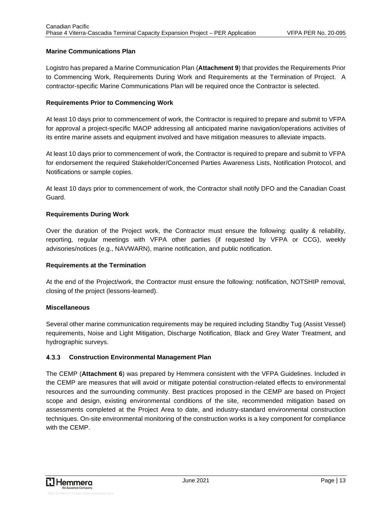### **Marine Communications Plan**

Logistro has prepared a Marine Communication Plan (**Attachment 9**) that provides the Requirements Prior to Commencing Work, Requirements During Work and Requirements at the Termination of Project. A contractor-specific Marine Communications Plan will be required once the Contractor is selected.

### **Requirements Prior to Commencing Work**

At least 10 days prior to commencement of work, the Contractor is required to prepare and submit to VFPA for approval a project-specific MAOP addressing all anticipated marine navigation/operations activities of its entire marine assets and equipment involved and have mitigation measures to alleviate impacts.

At least 10 days prior to commencement of work, the Contractor is required to prepare and submit to VFPA for endorsement the required Stakeholder/Concerned Parties Awareness Lists, Notification Protocol, and Notifications or sample copies.

At least 10 days prior to commencement of work, the Contractor shall notify DFO and the Canadian Coast Guard.

### **Requirements During Work**

Over the duration of the Project work, the Contractor must ensure the following: quality & reliability, reporting, regular meetings with VFPA other parties (if requested by VFPA or CCG), weekly advisories/notices (e.g., NAVWARN), marine notification, and public notification.

### **Requirements at the Termination**

At the end of the Project/work, the Contractor must ensure the following: notification, NOTSHIP removal, closing of the project (lessons-learned).

### **Miscellaneous**

Several other marine communication requirements may be required including Standby Tug (Assist Vessel) requirements, Noise and Light Mitigation, Discharge Notification, Black and Grey Water Treatment, and hydrographic surveys.

### <span id="page-18-0"></span>**Construction Environmental Management Plan**

The CEMP (**Attachment 6**) was prepared by Hemmera consistent with the VFPA Guidelines. Included in the CEMP are measures that will avoid or mitigate potential construction-related effects to environmental resources and the surrounding community. Best practices proposed in the CEMP are based on Project scope and design, existing environmental conditions of the site, recommended mitigation based on assessments completed at the Project Area to date, and industry-standard environmental construction techniques. On-site environmental monitoring of the construction works is a key component for compliance with the CFMP

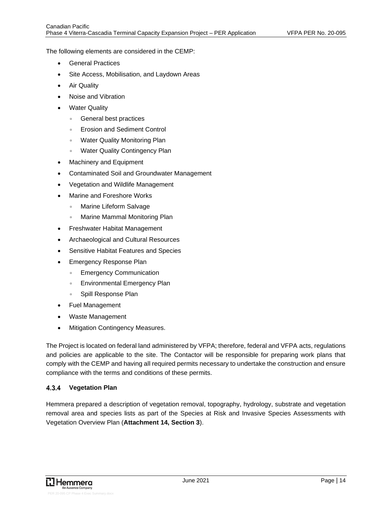The following elements are considered in the CEMP:

- General Practices
- Site Access, Mobilisation, and Laydown Areas
- Air Quality
- Noise and Vibration
- **Water Quality** 
	- General best practices
	- Erosion and Sediment Control
	- Water Quality Monitoring Plan
	- Water Quality Contingency Plan
- Machinery and Equipment
- Contaminated Soil and Groundwater Management
- Vegetation and Wildlife Management
- Marine and Foreshore Works
	- Marine Lifeform Salvage
	- Marine Mammal Monitoring Plan
- Freshwater Habitat Management
- Archaeological and Cultural Resources
- Sensitive Habitat Features and Species
- Emergency Response Plan
	- Emergency Communication
	- Environmental Emergency Plan
	- Spill Response Plan
- Fuel Management
- Waste Management
- **Mitigation Contingency Measures.**

The Project is located on federal land administered by VFPA; therefore, federal and VFPA acts, regulations and policies are applicable to the site. The Contactor will be responsible for preparing work plans that comply with the CEMP and having all required permits necessary to undertake the construction and ensure compliance with the terms and conditions of these permits.

#### <span id="page-19-0"></span> $4.3.4$ **Vegetation Plan**

Hemmera prepared a description of vegetation removal, topography, hydrology, substrate and vegetation removal area and species lists as part of the Species at Risk and Invasive Species Assessments with Vegetation Overview Plan (**Attachment 14, Section 3**).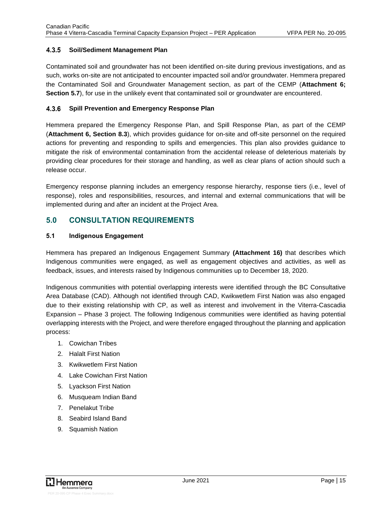#### <span id="page-20-0"></span> $4.3.5$ **Soil/Sediment Management Plan**

Contaminated soil and groundwater has not been identified on-site during previous investigations, and as such, works on-site are not anticipated to encounter impacted soil and/or groundwater. Hemmera prepared the Contaminated Soil and Groundwater Management section, as part of the CEMP (**Attachment 6; Section 5.7**), for use in the unlikely event that contaminated soil or groundwater are encountered.

#### <span id="page-20-1"></span> $4.3.6$ **Spill Prevention and Emergency Response Plan**

Hemmera prepared the Emergency Response Plan, and Spill Response Plan, as part of the CEMP (**Attachment 6, Section 8.3**), which provides guidance for on-site and off-site personnel on the required actions for preventing and responding to spills and emergencies. This plan also provides guidance to mitigate the risk of environmental contamination from the accidental release of deleterious materials by providing clear procedures for their storage and handling, as well as clear plans of action should such a release occur.

Emergency response planning includes an emergency response hierarchy, response tiers (i.e., level of response), roles and responsibilities, resources, and internal and external communications that will be implemented during and after an incident at the Project Area.

## <span id="page-20-2"></span>**5.0 CONSULTATION REQUIREMENTS**

### <span id="page-20-3"></span>**5.1 Indigenous Engagement**

Hemmera has prepared an Indigenous Engagement Summary **(Attachment 16)** that describes which Indigenous communities were engaged, as well as engagement objectives and activities, as well as feedback, issues, and interests raised by Indigenous communities up to December 18, 2020.

Indigenous communities with potential overlapping interests were identified through the BC Consultative Area Database (CAD). Although not identified through CAD, Kwikwetlem First Nation was also engaged due to their existing relationship with CP, as well as interest and involvement in the Viterra-Cascadia Expansion – Phase 3 project. The following Indigenous communities were identified as having potential overlapping interests with the Project, and were therefore engaged throughout the planning and application process:

- 1. Cowichan Tribes
- 2. Halalt First Nation
- 3. Kwikwetlem First Nation
- 4. Lake Cowichan First Nation
- 5. Lyackson First Nation
- 6. Musqueam Indian Band
- 7. Penelakut Tribe
- 8. Seabird Island Band
- 9. Squamish Nation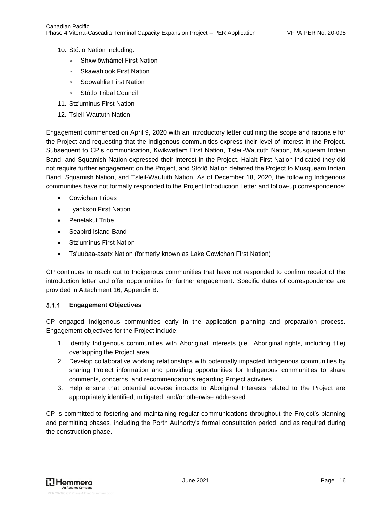- 10. Stó:lö Nation including:
	- Shxw'ōwhámél First Nation
	- Skawahlook First Nation
	- Soowahlie First Nation
	- Stó:lö Tribal Council
- 11. Stz'uminus First Nation
- 12. Tsleil-Waututh Nation

Engagement commenced on April 9, 2020 with an introductory letter outlining the scope and rationale for the Project and requesting that the Indigenous communities express their level of interest in the Project. Subsequent to CP's communication, Kwikwetlem First Nation, Tsleil-Waututh Nation, Musqueam Indian Band, and Squamish Nation expressed their interest in the Project. Halalt First Nation indicated they did not require further engagement on the Project, and Stó:lō Nation deferred the Project to Musqueam Indian Band, Squamish Nation, and Tsleil-Waututh Nation. As of December 18, 2020, the following Indigenous communities have not formally responded to the Project Introduction Letter and follow-up correspondence:

- Cowichan Tribes
- Lyackson First Nation
- Penelakut Tribe
- Seabird Island Band
- Stz'uminus First Nation
- Ts'uubaa-asatx Nation (formerly known as Lake Cowichan First Nation)

CP continues to reach out to Indigenous communities that have not responded to confirm receipt of the introduction letter and offer opportunities for further engagement. Specific dates of correspondence are provided in Attachment 16; Appendix B.

#### <span id="page-21-0"></span> $5.1.1$ **Engagement Objectives**

CP engaged Indigenous communities early in the application planning and preparation process. Engagement objectives for the Project include:

- 1. Identify Indigenous communities with Aboriginal Interests (i.e., Aboriginal rights, including title) overlapping the Project area.
- 2. Develop collaborative working relationships with potentially impacted Indigenous communities by sharing Project information and providing opportunities for Indigenous communities to share comments, concerns, and recommendations regarding Project activities.
- 3. Help ensure that potential adverse impacts to Aboriginal Interests related to the Project are appropriately identified, mitigated, and/or otherwise addressed.

CP is committed to fostering and maintaining regular communications throughout the Project's planning and permitting phases, including the Porth Authority's formal consultation period, and as required during the construction phase.

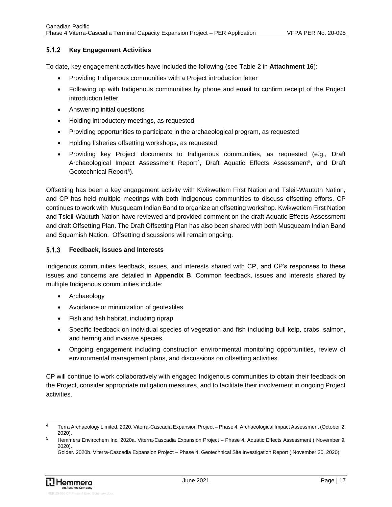#### <span id="page-22-0"></span> $5.1.2$ **Key Engagement Activities**

To date, key engagement activities have included the following (see Table 2 in **Attachment 16**):

- Providing Indigenous communities with a Project introduction letter
- Following up with Indigenous communities by phone and email to confirm receipt of the Project introduction letter
- Answering initial questions
- Holding introductory meetings, as requested
- Providing opportunities to participate in the archaeological program, as requested
- Holding fisheries offsetting workshops, as requested
- Providing key Project documents to Indigenous communities, as requested (e.g., Draft Archaeological Impact Assessment Report<sup>4</sup>, Draft Aquatic Effects Assessment<sup>5</sup>, and Draft Geotechnical Report<sup>6</sup>).

Offsetting has been a key engagement activity with Kwikwetlem First Nation and Tsleil-Waututh Nation, and CP has held multiple meetings with both Indigenous communities to discuss offsetting efforts. CP continues to work with Musqueam Indian Band to organize an offsetting workshop. Kwikwetlem First Nation and Tsleil-Waututh Nation have reviewed and provided comment on the draft Aquatic Effects Assessment and draft Offsetting Plan. The Draft Offsetting Plan has also been shared with both Musqueam Indian Band and Squamish Nation. Offsetting discussions will remain ongoing.

#### <span id="page-22-1"></span> $5.1.3$ **Feedback, Issues and Interests**

Indigenous communities feedback, issues, and interests shared with CP, and CP's responses to these issues and concerns are detailed in **Appendix B**. Common feedback, issues and interests shared by multiple Indigenous communities include:

- Archaeology
- Avoidance or minimization of geotextiles
- Fish and fish habitat, including riprap
- Specific feedback on individual species of vegetation and fish including bull kelp, crabs, salmon, and herring and invasive species.
- Ongoing engagement including construction environmental monitoring opportunities, review of environmental management plans, and discussions on offsetting activities.

CP will continue to work collaboratively with engaged Indigenous communities to obtain their feedback on the Project, consider appropriate mitigation measures, and to facilitate their involvement in ongoing Project activities.

<sup>4</sup> Terra Archaeology Limited. 2020. Viterra-Cascadia Expansion Project – Phase 4. Archaeological Impact Assessment (October 2, 2020).

<sup>5</sup> Hemmera Envirochem Inc. 2020a. Viterra-Cascadia Expansion Project – Phase 4. Aquatic Effects Assessment ( November 9, 2020).

Golder. 2020b. Viterra-Cascadia Expansion Project – Phase 4. Geotechnical Site Investigation Report ( November 20, 2020).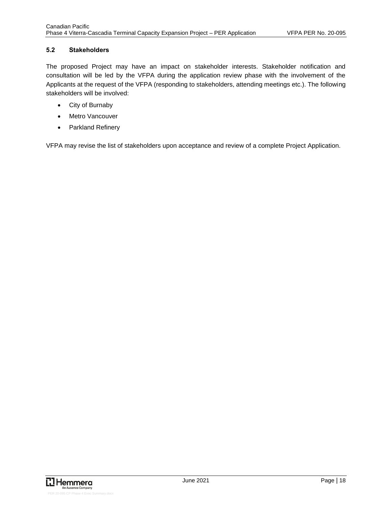### <span id="page-23-0"></span>**5.2 Stakeholders**

The proposed Project may have an impact on stakeholder interests. Stakeholder notification and consultation will be led by the VFPA during the application review phase with the involvement of the Applicants at the request of the VFPA (responding to stakeholders, attending meetings etc.). The following stakeholders will be involved:

- City of Burnaby
- Metro Vancouver
- Parkland Refinery

VFPA may revise the list of stakeholders upon acceptance and review of a complete Project Application.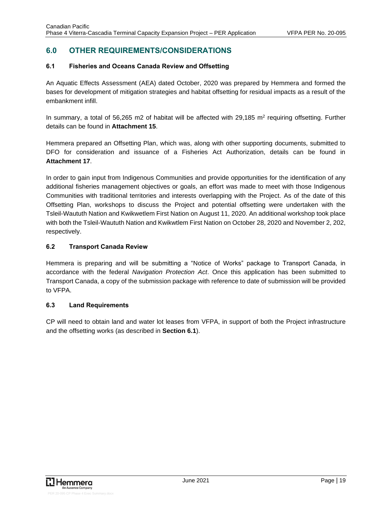# <span id="page-24-0"></span>**6.0 OTHER REQUIREMENTS/CONSIDERATIONS**

### <span id="page-24-1"></span>**6.1 Fisheries and Oceans Canada Review and Offsetting**

An Aquatic Effects Assessment (AEA) dated October, 2020 was prepared by Hemmera and formed the bases for development of mitigation strategies and habitat offsetting for residual impacts as a result of the embankment infill.

In summary, a total of 56,265 m2 of habitat will be affected with 29,185 m<sup>2</sup> requiring offsetting. Further details can be found in **Attachment 15**.

Hemmera prepared an Offsetting Plan, which was, along with other supporting documents, submitted to DFO for consideration and issuance of a Fisheries Act Authorization, details can be found in **Attachment 17**.

In order to gain input from Indigenous Communities and provide opportunities for the identification of any additional fisheries management objectives or goals, an effort was made to meet with those Indigenous Communities with traditional territories and interests overlapping with the Project. As of the date of this Offsetting Plan, workshops to discuss the Project and potential offsetting were undertaken with the Tsleil-Waututh Nation and Kwikwetlem First Nation on August 11, 2020. An additional workshop took place with both the Tsleil-Waututh Nation and Kwikwtlem First Nation on October 28, 2020 and November 2, 202, respectively.

### <span id="page-24-2"></span>**6.2 Transport Canada Review**

Hemmera is preparing and will be submitting a "Notice of Works" package to Transport Canada, in accordance with the federal *Navigation Protection Act*. Once this application has been submitted to Transport Canada, a copy of the submission package with reference to date of submission will be provided to VFPA.

### <span id="page-24-3"></span>**6.3 Land Requirements**

CP will need to obtain land and water lot leases from VFPA, in support of both the Project infrastructure and the offsetting works (as described in **Section 6.1**).